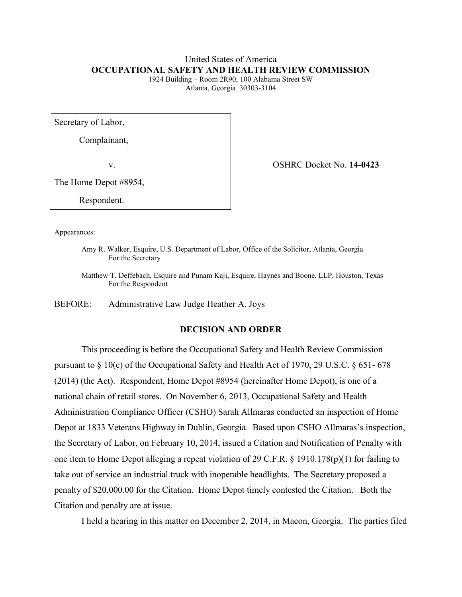# United States of America **OCCUPATIONAL SAFETY AND HEALTH REVIEW COMMISSION**

1924 Building – Room 2R90, 100 Alabama Street SW Atlanta, Georgia 30303-3104

Secretary of Labor,

Complainant,

v. OSHRC Docket No. **14-0423**

The Home Depot #8954,

Respondent.

Appearances:

Amy R. Walker, Esquire, U.S. Department of Labor, Office of the Solicitor, Atlanta, Georgia For the Secretary

Matthew T. Deffebach, Esquire and Punam Kaji, Esquire, Haynes and Boone, LLP, Houston, Texas For the Respondent

BEFORE: Administrative Law Judge Heather A. Joys

# **DECISION AND ORDER**

This proceeding is before the Occupational Safety and Health Review Commission pursuant to  $\S 10(c)$  of the Occupational Safety and Health Act of 1970, 29 U.S.C.  $\S 651-678$ (2014) (the Act). Respondent, Home Depot #8954 (hereinafter Home Depot), is one of a national chain of retail stores. On November 6, 2013, Occupational Safety and Health Administration Compliance Officer (CSHO) Sarah Allmaras conducted an inspection of Home Depot at 1833 Veterans Highway in Dublin, Georgia. Based upon CSHO Allmaras's inspection, the Secretary of Labor, on February 10, 2014, issued a Citation and Notification of Penalty with one item to Home Depot alleging a repeat violation of 29 C.F.R. § 1910.178(p)(1) for failing to take out of service an industrial truck with inoperable headlights. The Secretary proposed a penalty of \$20,000.00 for the Citation. Home Depot timely contested the Citation. Both the Citation and penalty are at issue.

I held a hearing in this matter on December 2, 2014, in Macon, Georgia. The parties filed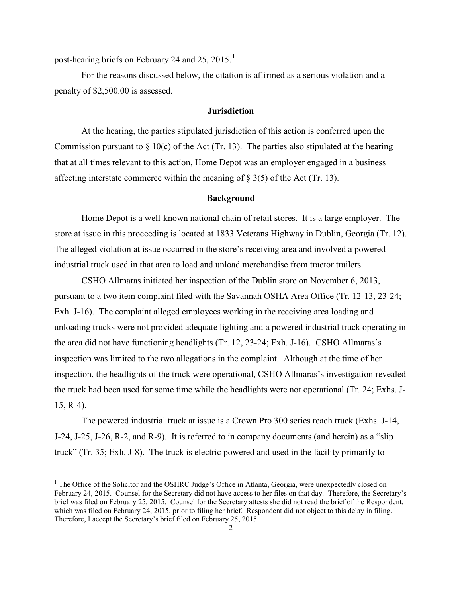post-hearing briefs on February 24 and 25, 20[1](#page-1-0)5.<sup>1</sup>

 $\overline{a}$ 

For the reasons discussed below, the citation is affirmed as a serious violation and a penalty of \$2,500.00 is assessed.

### **Jurisdiction**

At the hearing, the parties stipulated jurisdiction of this action is conferred upon the Commission pursuant to  $\S$  10(c) of the Act (Tr. 13). The parties also stipulated at the hearing that at all times relevant to this action, Home Depot was an employer engaged in a business affecting interstate commerce within the meaning of § 3(5) of the Act (Tr. 13).

### **Background**

Home Depot is a well-known national chain of retail stores. It is a large employer. The store at issue in this proceeding is located at 1833 Veterans Highway in Dublin, Georgia (Tr. 12). The alleged violation at issue occurred in the store's receiving area and involved a powered industrial truck used in that area to load and unload merchandise from tractor trailers.

CSHO Allmaras initiated her inspection of the Dublin store on November 6, 2013, pursuant to a two item complaint filed with the Savannah OSHA Area Office (Tr. 12-13, 23-24; Exh. J-16). The complaint alleged employees working in the receiving area loading and unloading trucks were not provided adequate lighting and a powered industrial truck operating in the area did not have functioning headlights (Tr. 12, 23-24; Exh. J-16). CSHO Allmaras's inspection was limited to the two allegations in the complaint. Although at the time of her inspection, the headlights of the truck were operational, CSHO Allmaras's investigation revealed the truck had been used for some time while the headlights were not operational (Tr. 24; Exhs. J-15, R-4).

The powered industrial truck at issue is a Crown Pro 300 series reach truck (Exhs. J-14, J-24, J-25, J-26, R-2, and R-9). It is referred to in company documents (and herein) as a "slip truck" (Tr. 35; Exh. J-8). The truck is electric powered and used in the facility primarily to

<span id="page-1-0"></span><sup>&</sup>lt;sup>1</sup> The Office of the Solicitor and the OSHRC Judge's Office in Atlanta, Georgia, were unexpectedly closed on February 24, 2015. Counsel for the Secretary did not have access to her files on that day. Therefore, the Secretary's brief was filed on February 25, 2015. Counsel for the Secretary attests she did not read the brief of the Respondent, which was filed on February 24, 2015, prior to filing her brief. Respondent did not object to this delay in filing. Therefore, I accept the Secretary's brief filed on February 25, 2015.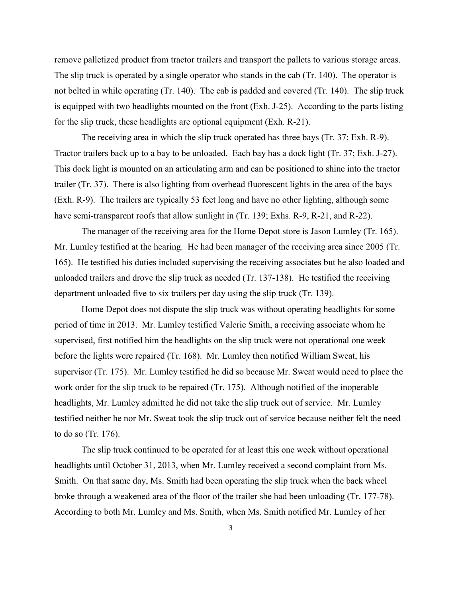remove palletized product from tractor trailers and transport the pallets to various storage areas. The slip truck is operated by a single operator who stands in the cab (Tr. 140). The operator is not belted in while operating (Tr. 140). The cab is padded and covered (Tr. 140). The slip truck is equipped with two headlights mounted on the front (Exh. J-25). According to the parts listing for the slip truck, these headlights are optional equipment (Exh. R-21).

The receiving area in which the slip truck operated has three bays (Tr. 37; Exh. R-9). Tractor trailers back up to a bay to be unloaded. Each bay has a dock light (Tr. 37; Exh. J-27). This dock light is mounted on an articulating arm and can be positioned to shine into the tractor trailer (Tr. 37). There is also lighting from overhead fluorescent lights in the area of the bays (Exh. R-9). The trailers are typically 53 feet long and have no other lighting, although some have semi-transparent roofs that allow sunlight in (Tr. 139; Exhs. R-9, R-21, and R-22).

The manager of the receiving area for the Home Depot store is Jason Lumley (Tr. 165). Mr. Lumley testified at the hearing. He had been manager of the receiving area since 2005 (Tr. 165). He testified his duties included supervising the receiving associates but he also loaded and unloaded trailers and drove the slip truck as needed (Tr. 137-138). He testified the receiving department unloaded five to six trailers per day using the slip truck (Tr. 139).

Home Depot does not dispute the slip truck was without operating headlights for some period of time in 2013. Mr. Lumley testified Valerie Smith, a receiving associate whom he supervised, first notified him the headlights on the slip truck were not operational one week before the lights were repaired (Tr. 168). Mr. Lumley then notified William Sweat, his supervisor (Tr. 175). Mr. Lumley testified he did so because Mr. Sweat would need to place the work order for the slip truck to be repaired (Tr. 175). Although notified of the inoperable headlights, Mr. Lumley admitted he did not take the slip truck out of service. Mr. Lumley testified neither he nor Mr. Sweat took the slip truck out of service because neither felt the need to do so (Tr. 176).

The slip truck continued to be operated for at least this one week without operational headlights until October 31, 2013, when Mr. Lumley received a second complaint from Ms. Smith. On that same day, Ms. Smith had been operating the slip truck when the back wheel broke through a weakened area of the floor of the trailer she had been unloading (Tr. 177-78). According to both Mr. Lumley and Ms. Smith, when Ms. Smith notified Mr. Lumley of her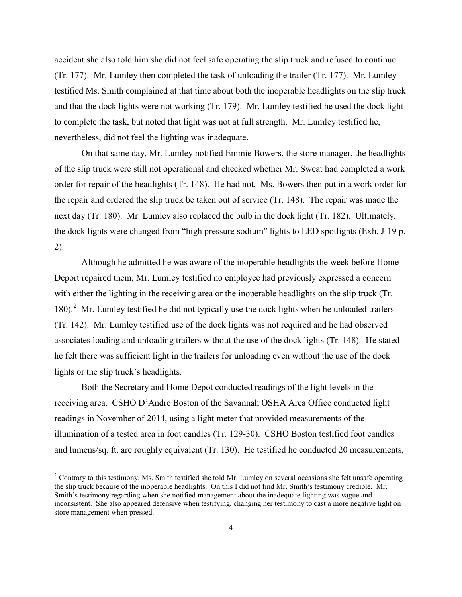accident she also told him she did not feel safe operating the slip truck and refused to continue (Tr. 177). Mr. Lumley then completed the task of unloading the trailer (Tr. 177). Mr. Lumley testified Ms. Smith complained at that time about both the inoperable headlights on the slip truck and that the dock lights were not working (Tr. 179). Mr. Lumley testified he used the dock light to complete the task, but noted that light was not at full strength. Mr. Lumley testified he, nevertheless, did not feel the lighting was inadequate.

On that same day, Mr. Lumley notified Emmie Bowers, the store manager, the headlights of the slip truck were still not operational and checked whether Mr. Sweat had completed a work order for repair of the headlights (Tr. 148). He had not. Ms. Bowers then put in a work order for the repair and ordered the slip truck be taken out of service (Tr. 148). The repair was made the next day (Tr. 180). Mr. Lumley also replaced the bulb in the dock light (Tr. 182). Ultimately, the dock lights were changed from "high pressure sodium" lights to LED spotlights (Exh. J-19 p. 2).

Although he admitted he was aware of the inoperable headlights the week before Home Deport repaired them, Mr. Lumley testified no employee had previously expressed a concern with either the lighting in the receiving area or the inoperable headlights on the slip truck (Tr. 180).<sup>[2](#page-3-0)</sup> Mr. Lumley testified he did not typically use the dock lights when he unloaded trailers (Tr. 142). Mr. Lumley testified use of the dock lights was not required and he had observed associates loading and unloading trailers without the use of the dock lights (Tr. 148). He stated he felt there was sufficient light in the trailers for unloading even without the use of the dock lights or the slip truck's headlights.

Both the Secretary and Home Depot conducted readings of the light levels in the receiving area. CSHO D'Andre Boston of the Savannah OSHA Area Office conducted light readings in November of 2014, using a light meter that provided measurements of the illumination of a tested area in foot candles (Tr. 129-30). CSHO Boston testified foot candles and lumens/sq. ft. are roughly equivalent (Tr. 130). He testified he conducted 20 measurements,

<span id="page-3-0"></span> $2^2$  Contrary to this testimony, Ms. Smith testified she told Mr. Lumley on several occasions she felt unsafe operating the slip truck because of the inoperable headlights. On this I did not find Mr. Smith's testimony credible. Mr. Smith's testimony regarding when she notified management about the inadequate lighting was vague and inconsistent. She also appeared defensive when testifying, changing her testimony to cast a more negative light on store management when pressed.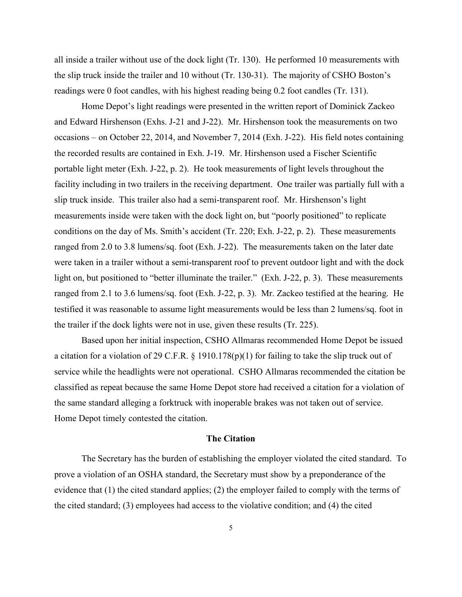all inside a trailer without use of the dock light (Tr. 130). He performed 10 measurements with the slip truck inside the trailer and 10 without (Tr. 130-31). The majority of CSHO Boston's readings were 0 foot candles, with his highest reading being 0.2 foot candles (Tr. 131).

Home Depot's light readings were presented in the written report of Dominick Zackeo and Edward Hirshenson (Exhs. J-21 and J-22). Mr. Hirshenson took the measurements on two occasions – on October 22, 2014, and November 7, 2014 (Exh. J-22). His field notes containing the recorded results are contained in Exh. J-19. Mr. Hirshenson used a Fischer Scientific portable light meter (Exh. J-22, p. 2). He took measurements of light levels throughout the facility including in two trailers in the receiving department. One trailer was partially full with a slip truck inside. This trailer also had a semi-transparent roof. Mr. Hirshenson's light measurements inside were taken with the dock light on, but "poorly positioned" to replicate conditions on the day of Ms. Smith's accident (Tr. 220; Exh. J-22, p. 2). These measurements ranged from 2.0 to 3.8 lumens/sq. foot (Exh. J-22). The measurements taken on the later date were taken in a trailer without a semi-transparent roof to prevent outdoor light and with the dock light on, but positioned to "better illuminate the trailer." (Exh. J-22, p. 3). These measurements ranged from 2.1 to 3.6 lumens/sq. foot (Exh. J-22, p. 3). Mr. Zackeo testified at the hearing. He testified it was reasonable to assume light measurements would be less than 2 lumens/sq. foot in the trailer if the dock lights were not in use, given these results (Tr. 225).

Based upon her initial inspection, CSHO Allmaras recommended Home Depot be issued a citation for a violation of 29 C.F.R. § 1910.178(p)(1) for failing to take the slip truck out of service while the headlights were not operational. CSHO Allmaras recommended the citation be classified as repeat because the same Home Depot store had received a citation for a violation of the same standard alleging a forktruck with inoperable brakes was not taken out of service. Home Depot timely contested the citation.

#### **The Citation**

The Secretary has the burden of establishing the employer violated the cited standard. To prove a violation of an OSHA standard, the Secretary must show by a preponderance of the evidence that (1) the cited standard applies; (2) the employer failed to comply with the terms of the cited standard; (3) employees had access to the violative condition; and (4) the cited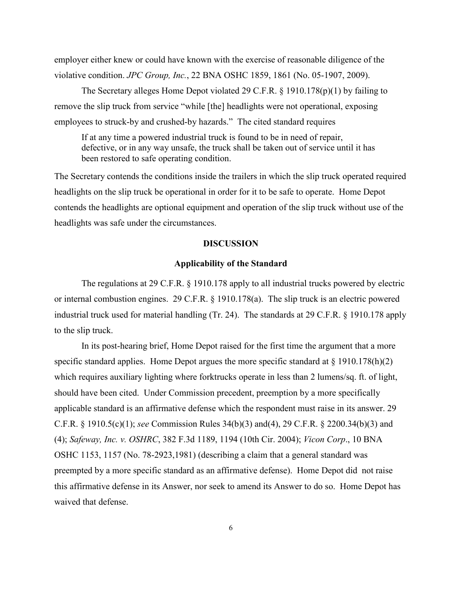employer either knew or could have known with the exercise of reasonable diligence of the violative condition. *JPC Group, Inc.*, 22 BNA OSHC 1859, 1861 (No. 05-1907, 2009).

The Secretary alleges Home Depot violated 29 C.F.R. § 1910.178(p)(1) by failing to remove the slip truck from service "while [the] headlights were not operational, exposing employees to struck-by and crushed-by hazards." The cited standard requires

If at any time a powered industrial truck is found to be in need of repair, defective, or in any way unsafe, the truck shall be taken out of service until it has been restored to safe operating condition.

The Secretary contends the conditions inside the trailers in which the slip truck operated required headlights on the slip truck be operational in order for it to be safe to operate. Home Depot contends the headlights are optional equipment and operation of the slip truck without use of the headlights was safe under the circumstances.

### **DISCUSSION**

## **Applicability of the Standard**

The regulations at 29 C.F.R. § 1910.178 apply to all industrial trucks powered by electric or internal combustion engines. 29 C.F.R. § 1910.178(a). The slip truck is an electric powered industrial truck used for material handling (Tr. 24). The standards at 29 C.F.R. § 1910.178 apply to the slip truck.

In its post-hearing brief, Home Depot raised for the first time the argument that a more specific standard applies. Home Depot argues the more specific standard at  $\S$  1910.178(h)(2) which requires auxiliary lighting where forktrucks operate in less than 2 lumens/sq. ft. of light, should have been cited. Under Commission precedent, preemption by a more specifically applicable standard is an affirmative defense which the respondent must raise in its answer. 29 C.F.R. § 1910.5(c)(1); *see* Commission Rules 34(b)(3) and(4), 29 C.F.R. § 2200.34(b)(3) and (4); *Safeway, Inc. v. OSHRC*, 382 F.3d 1189, 1194 (10th Cir. 2004); *Vicon Corp*., 10 BNA OSHC 1153, 1157 (No. 78-2923,1981) (describing a claim that a general standard was preempted by a more specific standard as an affirmative defense). Home Depot did not raise this affirmative defense in its Answer, nor seek to amend its Answer to do so. Home Depot has waived that defense.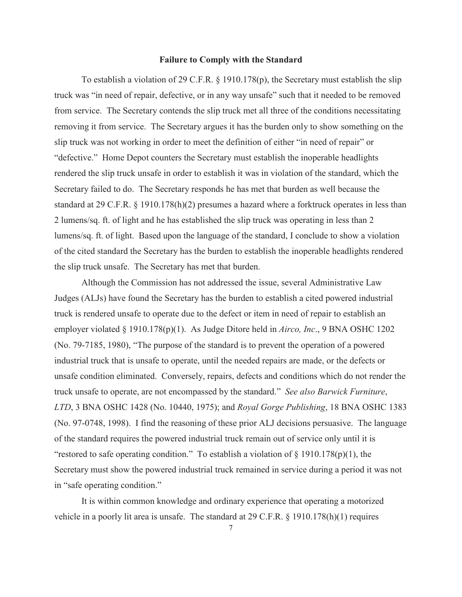### **Failure to Comply with the Standard**

To establish a violation of 29 C.F.R. § 1910.178(p), the Secretary must establish the slip truck was "in need of repair, defective, or in any way unsafe" such that it needed to be removed from service. The Secretary contends the slip truck met all three of the conditions necessitating removing it from service. The Secretary argues it has the burden only to show something on the slip truck was not working in order to meet the definition of either "in need of repair" or "defective." Home Depot counters the Secretary must establish the inoperable headlights rendered the slip truck unsafe in order to establish it was in violation of the standard, which the Secretary failed to do. The Secretary responds he has met that burden as well because the standard at 29 C.F.R. § 1910.178(h)(2) presumes a hazard where a forktruck operates in less than 2 lumens/sq. ft. of light and he has established the slip truck was operating in less than 2 lumens/sq. ft. of light. Based upon the language of the standard, I conclude to show a violation of the cited standard the Secretary has the burden to establish the inoperable headlights rendered the slip truck unsafe. The Secretary has met that burden.

Although the Commission has not addressed the issue, several Administrative Law Judges (ALJs) have found the Secretary has the burden to establish a cited powered industrial truck is rendered unsafe to operate due to the defect or item in need of repair to establish an employer violated § 1910.178(p)(1). As Judge Ditore held in *Airco, Inc*., 9 BNA OSHC 1202 (No. 79-7185, 1980), "The purpose of the standard is to prevent the operation of a powered industrial truck that is unsafe to operate, until the needed repairs are made, or the defects or unsafe condition eliminated. Conversely, repairs, defects and conditions which do not render the truck unsafe to operate, are not encompassed by the standard." *See also Barwick Furniture*, *LTD*, 3 BNA OSHC 1428 (No. 10440, 1975); and *Royal Gorge Publishing*, 18 BNA OSHC 1383 (No. 97-0748, 1998). I find the reasoning of these prior ALJ decisions persuasive. The language of the standard requires the powered industrial truck remain out of service only until it is "restored to safe operating condition." To establish a violation of  $\S$  1910.178(p)(1), the Secretary must show the powered industrial truck remained in service during a period it was not in "safe operating condition."

It is within common knowledge and ordinary experience that operating a motorized vehicle in a poorly lit area is unsafe. The standard at 29 C.F.R. § 1910.178(h)(1) requires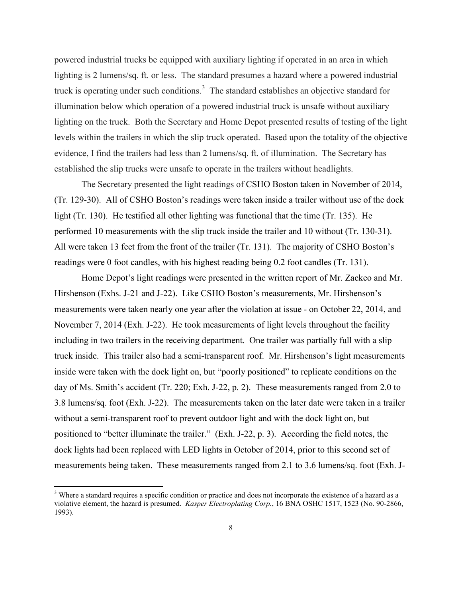powered industrial trucks be equipped with auxiliary lighting if operated in an area in which lighting is 2 lumens/sq. ft. or less. The standard presumes a hazard where a powered industrial truck is operating under such conditions.<sup>[3](#page-7-0)</sup> The standard establishes an objective standard for illumination below which operation of a powered industrial truck is unsafe without auxiliary lighting on the truck. Both the Secretary and Home Depot presented results of testing of the light levels within the trailers in which the slip truck operated. Based upon the totality of the objective evidence, I find the trailers had less than 2 lumens/sq. ft. of illumination. The Secretary has established the slip trucks were unsafe to operate in the trailers without headlights.

The Secretary presented the light readings of CSHO Boston taken in November of 2014, (Tr. 129-30). All of CSHO Boston's readings were taken inside a trailer without use of the dock light (Tr. 130). He testified all other lighting was functional that the time (Tr. 135). He performed 10 measurements with the slip truck inside the trailer and 10 without (Tr. 130-31). All were taken 13 feet from the front of the trailer (Tr. 131). The majority of CSHO Boston's readings were 0 foot candles, with his highest reading being 0.2 foot candles (Tr. 131).

Home Depot's light readings were presented in the written report of Mr. Zackeo and Mr. Hirshenson (Exhs. J-21 and J-22). Like CSHO Boston's measurements, Mr. Hirshenson's measurements were taken nearly one year after the violation at issue - on October 22, 2014, and November 7, 2014 (Exh. J-22). He took measurements of light levels throughout the facility including in two trailers in the receiving department. One trailer was partially full with a slip truck inside. This trailer also had a semi-transparent roof. Mr. Hirshenson's light measurements inside were taken with the dock light on, but "poorly positioned" to replicate conditions on the day of Ms. Smith's accident (Tr. 220; Exh. J-22, p. 2). These measurements ranged from 2.0 to 3.8 lumens/sq. foot (Exh. J-22). The measurements taken on the later date were taken in a trailer without a semi-transparent roof to prevent outdoor light and with the dock light on, but positioned to "better illuminate the trailer." (Exh. J-22, p. 3). According the field notes, the dock lights had been replaced with LED lights in October of 2014, prior to this second set of measurements being taken. These measurements ranged from 2.1 to 3.6 lumens/sq. foot (Exh. J-

<span id="page-7-0"></span> $3$  Where a standard requires a specific condition or practice and does not incorporate the existence of a hazard as a violative element, the hazard is presumed. *Kasper Electroplating Corp.*, 16 BNA OSHC 1517, 1523 (No. 90-2866, 1993).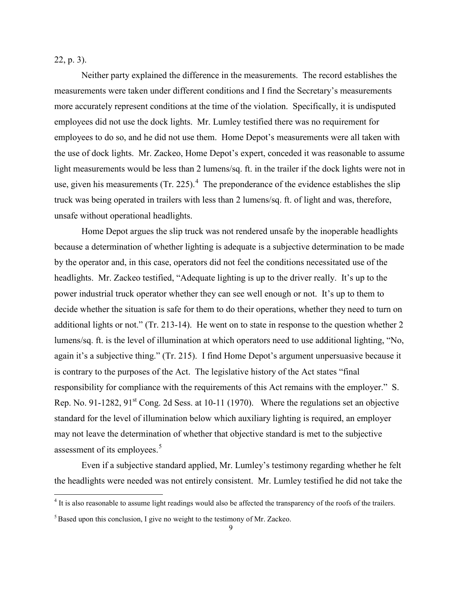22, p. 3).

 $\overline{a}$ 

Neither party explained the difference in the measurements. The record establishes the measurements were taken under different conditions and I find the Secretary's measurements more accurately represent conditions at the time of the violation. Specifically, it is undisputed employees did not use the dock lights. Mr. Lumley testified there was no requirement for employees to do so, and he did not use them. Home Depot's measurements were all taken with the use of dock lights. Mr. Zackeo, Home Depot's expert, conceded it was reasonable to assume light measurements would be less than 2 lumens/sq. ft. in the trailer if the dock lights were not in use, given his measurements (Tr. 225).<sup>[4](#page-8-0)</sup> The preponderance of the evidence establishes the slip truck was being operated in trailers with less than 2 lumens/sq. ft. of light and was, therefore, unsafe without operational headlights.

Home Depot argues the slip truck was not rendered unsafe by the inoperable headlights because a determination of whether lighting is adequate is a subjective determination to be made by the operator and, in this case, operators did not feel the conditions necessitated use of the headlights. Mr. Zackeo testified, "Adequate lighting is up to the driver really. It's up to the power industrial truck operator whether they can see well enough or not. It's up to them to decide whether the situation is safe for them to do their operations, whether they need to turn on additional lights or not." (Tr. 213-14). He went on to state in response to the question whether 2 lumens/sq. ft. is the level of illumination at which operators need to use additional lighting, "No, again it's a subjective thing." (Tr. 215). I find Home Depot's argument unpersuasive because it is contrary to the purposes of the Act. The legislative history of the Act states "final responsibility for compliance with the requirements of this Act remains with the employer." S. Rep. No. 91-1282,  $91<sup>st</sup>$  Cong. 2d Sess. at 10-11 (1970). Where the regulations set an objective standard for the level of illumination below which auxiliary lighting is required, an employer may not leave the determination of whether that objective standard is met to the subjective assessment of its employees.<sup>[5](#page-8-1)</sup>

Even if a subjective standard applied, Mr. Lumley's testimony regarding whether he felt the headlights were needed was not entirely consistent. Mr. Lumley testified he did not take the

<span id="page-8-0"></span> $4$  It is also reasonable to assume light readings would also be affected the transparency of the roofs of the trailers.

<span id="page-8-1"></span><sup>&</sup>lt;sup>5</sup> Based upon this conclusion, I give no weight to the testimony of Mr. Zackeo.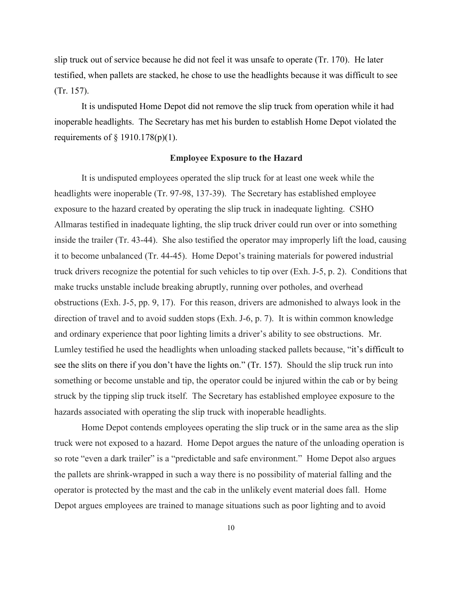slip truck out of service because he did not feel it was unsafe to operate (Tr. 170). He later testified, when pallets are stacked, he chose to use the headlights because it was difficult to see (Tr. 157).

It is undisputed Home Depot did not remove the slip truck from operation while it had inoperable headlights. The Secretary has met his burden to establish Home Depot violated the requirements of  $\S$  1910.178(p)(1).

### **Employee Exposure to the Hazard**

It is undisputed employees operated the slip truck for at least one week while the headlights were inoperable (Tr. 97-98, 137-39). The Secretary has established employee exposure to the hazard created by operating the slip truck in inadequate lighting. CSHO Allmaras testified in inadequate lighting, the slip truck driver could run over or into something inside the trailer (Tr. 43-44). She also testified the operator may improperly lift the load, causing it to become unbalanced (Tr. 44-45). Home Depot's training materials for powered industrial truck drivers recognize the potential for such vehicles to tip over (Exh. J-5, p. 2). Conditions that make trucks unstable include breaking abruptly, running over potholes, and overhead obstructions (Exh. J-5, pp. 9, 17). For this reason, drivers are admonished to always look in the direction of travel and to avoid sudden stops (Exh. J-6, p. 7). It is within common knowledge and ordinary experience that poor lighting limits a driver's ability to see obstructions. Mr. Lumley testified he used the headlights when unloading stacked pallets because, "it's difficult to see the slits on there if you don't have the lights on." (Tr. 157). Should the slip truck run into something or become unstable and tip, the operator could be injured within the cab or by being struck by the tipping slip truck itself. The Secretary has established employee exposure to the hazards associated with operating the slip truck with inoperable headlights.

Home Depot contends employees operating the slip truck or in the same area as the slip truck were not exposed to a hazard. Home Depot argues the nature of the unloading operation is so rote "even a dark trailer" is a "predictable and safe environment." Home Depot also argues the pallets are shrink-wrapped in such a way there is no possibility of material falling and the operator is protected by the mast and the cab in the unlikely event material does fall. Home Depot argues employees are trained to manage situations such as poor lighting and to avoid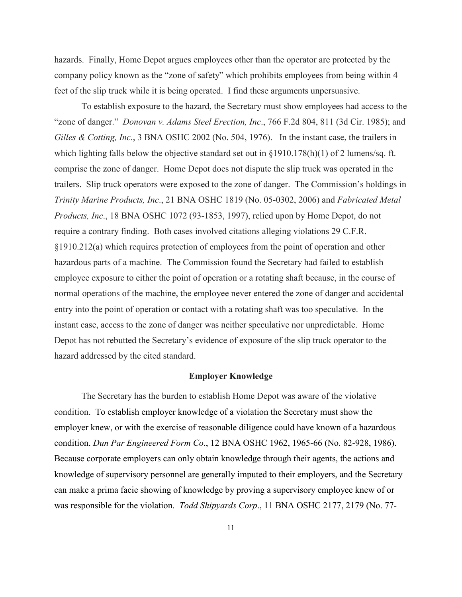hazards. Finally, Home Depot argues employees other than the operator are protected by the company policy known as the "zone of safety" which prohibits employees from being within 4 feet of the slip truck while it is being operated. I find these arguments unpersuasive.

To establish exposure to the hazard, the Secretary must show employees had access to the "zone of danger." *Donovan v. Adams Steel Erection, Inc*., 766 F.2d 804, 811 (3d Cir. 1985); and *Gilles & Cotting, Inc.*, 3 BNA OSHC 2002 (No. 504, 1976). In the instant case, the trailers in which lighting falls below the objective standard set out in §1910.178(h)(1) of 2 lumens/sq. ft. comprise the zone of danger. Home Depot does not dispute the slip truck was operated in the trailers. Slip truck operators were exposed to the zone of danger. The Commission's holdings in *Trinity Marine Products, Inc*., 21 BNA OSHC 1819 (No. 05-0302, 2006) and *Fabricated Metal Products, Inc*., 18 BNA OSHC 1072 (93-1853, 1997), relied upon by Home Depot, do not require a contrary finding. Both cases involved citations alleging violations 29 C.F.R. §1910.212(a) which requires protection of employees from the point of operation and other hazardous parts of a machine. The Commission found the Secretary had failed to establish employee exposure to either the point of operation or a rotating shaft because, in the course of normal operations of the machine, the employee never entered the zone of danger and accidental entry into the point of operation or contact with a rotating shaft was too speculative. In the instant case, access to the zone of danger was neither speculative nor unpredictable. Home Depot has not rebutted the Secretary's evidence of exposure of the slip truck operator to the hazard addressed by the cited standard.

#### **Employer Knowledge**

The Secretary has the burden to establish Home Depot was aware of the violative condition. To establish employer knowledge of a violation the Secretary must show the employer knew, or with the exercise of reasonable diligence could have known of a hazardous condition. *Dun Par Engineered Form Co*., 12 BNA OSHC 1962, 1965-66 (No. 82-928, 1986). Because corporate employers can only obtain knowledge through their agents, the actions and knowledge of supervisory personnel are generally imputed to their employers, and the Secretary can make a prima facie showing of knowledge by proving a supervisory employee knew of or was responsible for the violation. *Todd Shipyards Corp*., 11 BNA OSHC 2177, 2179 (No. 77-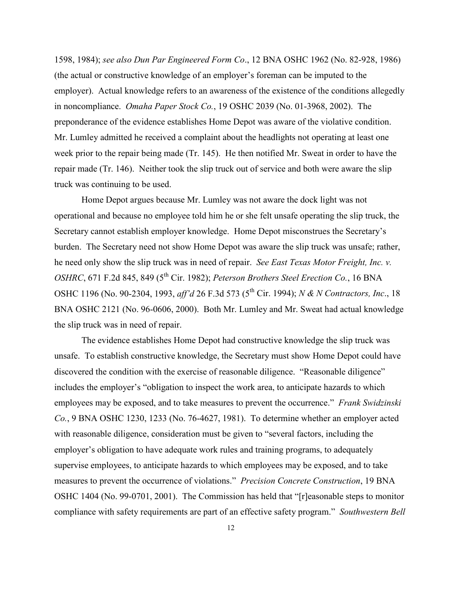1598, 1984); *see also Dun Par Engineered Form Co*., 12 BNA OSHC 1962 (No. 82-928, 1986) (the actual or constructive knowledge of an employer's foreman can be imputed to the employer). Actual knowledge refers to an awareness of the existence of the conditions allegedly in noncompliance. *Omaha Paper Stock Co.*, 19 OSHC 2039 (No. 01-3968, 2002). The preponderance of the evidence establishes Home Depot was aware of the violative condition. Mr. Lumley admitted he received a complaint about the headlights not operating at least one week prior to the repair being made (Tr. 145). He then notified Mr. Sweat in order to have the repair made (Tr. 146). Neither took the slip truck out of service and both were aware the slip truck was continuing to be used.

Home Depot argues because Mr. Lumley was not aware the dock light was not operational and because no employee told him he or she felt unsafe operating the slip truck, the Secretary cannot establish employer knowledge. Home Depot misconstrues the Secretary's burden. The Secretary need not show Home Depot was aware the slip truck was unsafe; rather, he need only show the slip truck was in need of repair. *See East Texas Motor Freight, Inc. v. OSHRC*, 671 F.2d 845, 849 (5<sup>th</sup> Cir. 1982); *Peterson Brothers Steel Erection Co.*, 16 BNA OSHC 1196 (No. 90-2304, 1993, *aff'd* 26 F.3d 573 (5th Cir. 1994); *N & N Contractors, Inc*., 18 BNA OSHC 2121 (No. 96-0606, 2000). Both Mr. Lumley and Mr. Sweat had actual knowledge the slip truck was in need of repair.

The evidence establishes Home Depot had constructive knowledge the slip truck was unsafe. To establish constructive knowledge, the Secretary must show Home Depot could have discovered the condition with the exercise of reasonable diligence. "Reasonable diligence" includes the employer's "obligation to inspect the work area, to anticipate hazards to which employees may be exposed, and to take measures to prevent the occurrence." *Frank Swidzinski Co.*, 9 BNA OSHC 1230, 1233 (No. 76-4627, 1981). To determine whether an employer acted with reasonable diligence, consideration must be given to "several factors, including the employer's obligation to have adequate work rules and training programs, to adequately supervise employees, to anticipate hazards to which employees may be exposed, and to take measures to prevent the occurrence of violations." *Precision Concrete Construction*, 19 BNA OSHC 1404 (No. 99-0701, 2001). The Commission has held that "[r]easonable steps to monitor compliance with safety requirements are part of an effective safety program." *Southwestern Bell*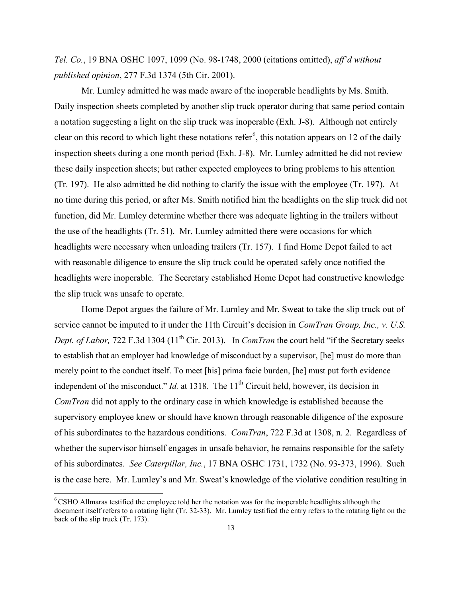*Tel. Co.*, 19 BNA OSHC 1097, 1099 (No. 98-1748, 2000 (citations omitted), *aff'd without published opinion*, 277 F.3d 1374 (5th Cir. 2001).

Mr. Lumley admitted he was made aware of the inoperable headlights by Ms. Smith. Daily inspection sheets completed by another slip truck operator during that same period contain a notation suggesting a light on the slip truck was inoperable (Exh. J-8). Although not entirely clear on this record to which light these notations refer<sup>[6](#page-12-0)</sup>, this notation appears on 12 of the daily inspection sheets during a one month period (Exh. J-8). Mr. Lumley admitted he did not review these daily inspection sheets; but rather expected employees to bring problems to his attention (Tr. 197). He also admitted he did nothing to clarify the issue with the employee (Tr. 197). At no time during this period, or after Ms. Smith notified him the headlights on the slip truck did not function, did Mr. Lumley determine whether there was adequate lighting in the trailers without the use of the headlights (Tr. 51). Mr. Lumley admitted there were occasions for which headlights were necessary when unloading trailers (Tr. 157). I find Home Depot failed to act with reasonable diligence to ensure the slip truck could be operated safely once notified the headlights were inoperable. The Secretary established Home Depot had constructive knowledge the slip truck was unsafe to operate.

Home Depot argues the failure of Mr. Lumley and Mr. Sweat to take the slip truck out of service cannot be imputed to it under the 11th Circuit's decision in *ComTran Group, Inc., v. U.S. Dept. of Labor, 722 F.3d 1304 (11<sup>th</sup> Cir. 2013).* In *ComTran the court held "if the Secretary seeks* to establish that an employer had knowledge of misconduct by a supervisor, [he] must do more than merely point to the conduct itself. To meet [his] prima facie burden, [he] must put forth evidence independent of the misconduct." *Id.* at 1318. The 11<sup>th</sup> Circuit held, however, its decision in *ComTran* did not apply to the ordinary case in which knowledge is established because the supervisory employee knew or should have known through reasonable diligence of the exposure of his subordinates to the hazardous conditions. *ComTran*, 722 F.3d at 1308, n. 2. Regardless of whether the supervisor himself engages in unsafe behavior, he remains responsible for the safety of his subordinates. *See Caterpillar, Inc.*, 17 BNA OSHC 1731, 1732 (No. 93-373, 1996). Such is the case here. Mr. Lumley's and Mr. Sweat's knowledge of the violative condition resulting in

<span id="page-12-0"></span><sup>6</sup> CSHO Allmaras testified the employee told her the notation was for the inoperable headlights although the document itself refers to a rotating light (Tr. 32-33). Mr. Lumley testified the entry refers to the rotating light on the back of the slip truck (Tr. 173).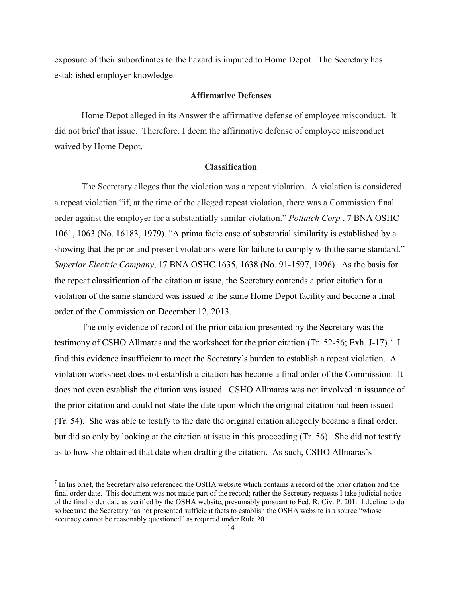exposure of their subordinates to the hazard is imputed to Home Depot. The Secretary has established employer knowledge.

### **Affirmative Defenses**

Home Depot alleged in its Answer the affirmative defense of employee misconduct. It did not brief that issue. Therefore, I deem the affirmative defense of employee misconduct waived by Home Depot.

## **Classification**

The Secretary alleges that the violation was a repeat violation. A violation is considered a repeat violation "if, at the time of the alleged repeat violation, there was a Commission final order against the employer for a substantially similar violation." *Potlatch Corp.*, 7 BNA OSHC 1061, 1063 (No. 16183, 1979). "A prima facie case of substantial similarity is established by a showing that the prior and present violations were for failure to comply with the same standard." *Superior Electric Company*, 17 BNA OSHC 1635, 1638 (No. 91-1597, 1996). As the basis for the repeat classification of the citation at issue, the Secretary contends a prior citation for a violation of the same standard was issued to the same Home Depot facility and became a final order of the Commission on December 12, 2013.

The only evidence of record of the prior citation presented by the Secretary was the testimony of CSHO Allmaras and the worksheet for the prior citation (Tr. 52-56; Exh. J-1[7](#page-13-0)).<sup>7</sup> I find this evidence insufficient to meet the Secretary's burden to establish a repeat violation. A violation worksheet does not establish a citation has become a final order of the Commission. It does not even establish the citation was issued. CSHO Allmaras was not involved in issuance of the prior citation and could not state the date upon which the original citation had been issued (Tr. 54). She was able to testify to the date the original citation allegedly became a final order, but did so only by looking at the citation at issue in this proceeding (Tr. 56). She did not testify as to how she obtained that date when drafting the citation. As such, CSHO Allmaras's

<span id="page-13-0"></span> $<sup>7</sup>$  In his brief, the Secretary also referenced the OSHA website which contains a record of the prior citation and the</sup> final order date. This document was not made part of the record; rather the Secretary requests I take judicial notice of the final order date as verified by the OSHA website, presumably pursuant to Fed. R. Civ. P. 201. I decline to do so because the Secretary has not presented sufficient facts to establish the OSHA website is a source "whose accuracy cannot be reasonably questioned" as required under Rule 201.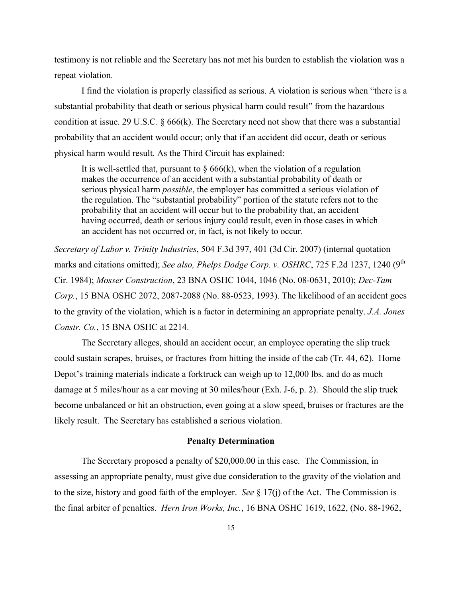testimony is not reliable and the Secretary has not met his burden to establish the violation was a repeat violation.

I find the violation is properly classified as serious. A violation is serious when "there is a substantial probability that death or serious physical harm could result" from the hazardous condition at issue. 29 U.S.C. § 666(k). The Secretary need not show that there was a substantial probability that an accident would occur; only that if an accident did occur, death or serious physical harm would result. As the Third Circuit has explained:

It is well-settled that, pursuant to  $\S 666(k)$ , when the violation of a regulation makes the occurrence of an accident with a substantial probability of death or serious physical harm *possible*, the employer has committed a serious violation of the regulation. The "substantial probability" portion of the statute refers not to the probability that an accident will occur but to the probability that, an accident having occurred, death or serious injury could result, even in those cases in which an accident has not occurred or, in fact, is not likely to occur.

*Secretary of Labor v. Trinity Industries*, 504 F.3d 397, 401 (3d Cir. 2007) (internal quotation marks and citations omitted); *See also, Phelps Dodge Corp. v. OSHRC*, 725 F.2d 1237, 1240 (9<sup>th</sup>) Cir. 1984); *Mosser Construction*, 23 BNA OSHC 1044, 1046 (No. 08-0631, 2010); *Dec-Tam Corp.*, 15 BNA OSHC 2072, 2087-2088 (No. 88-0523, 1993). The likelihood of an accident goes to the gravity of the violation, which is a factor in determining an appropriate penalty. *J.A. Jones Constr. Co.*, 15 BNA OSHC at 2214.

The Secretary alleges, should an accident occur, an employee operating the slip truck could sustain scrapes, bruises, or fractures from hitting the inside of the cab (Tr. 44, 62). Home Depot's training materials indicate a forktruck can weigh up to 12,000 lbs. and do as much damage at 5 miles/hour as a car moving at 30 miles/hour (Exh. J-6, p. 2). Should the slip truck become unbalanced or hit an obstruction, even going at a slow speed, bruises or fractures are the likely result. The Secretary has established a serious violation.

#### **Penalty Determination**

The Secretary proposed a penalty of \$20,000.00 in this case. The Commission, in assessing an appropriate penalty, must give due consideration to the gravity of the violation and to the size, history and good faith of the employer. *See* § 17(j) of the Act. The Commission is the final arbiter of penalties. *Hern Iron Works, Inc.*, 16 BNA OSHC 1619, 1622, (No. 88-1962,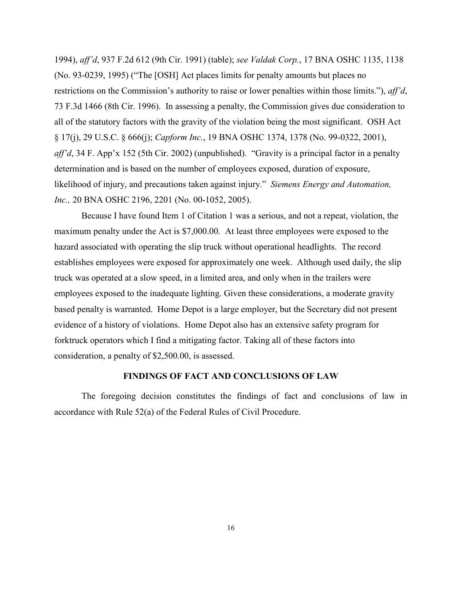1994), *aff'd*, 937 F.2d 612 (9th Cir. 1991) (table); *see Valdak Corp.*, 17 BNA OSHC 1135, 1138 (No. 93-0239, 1995) ("The [OSH] Act places limits for penalty amounts but places no restrictions on the Commission's authority to raise or lower penalties within those limits."), *aff'd*, 73 F.3d 1466 (8th Cir. 1996). In assessing a penalty, the Commission gives due consideration to all of the statutory factors with the gravity of the violation being the most significant. OSH Act § 17(j), 29 U.S.C. § 666(j); *Capform Inc.*, 19 BNA OSHC 1374, 1378 (No. 99-0322, 2001), *aff'd*, 34 F. App'x 152 (5th Cir. 2002) (unpublished). "Gravity is a principal factor in a penalty determination and is based on the number of employees exposed, duration of exposure, likelihood of injury, and precautions taken against injury." *Siemens Energy and Automation, Inc.,* 20 BNA OSHC 2196, 2201 (No. 00-1052, 2005).

Because I have found Item 1 of Citation 1 was a serious, and not a repeat, violation, the maximum penalty under the Act is \$7,000.00. At least three employees were exposed to the hazard associated with operating the slip truck without operational headlights. The record establishes employees were exposed for approximately one week. Although used daily, the slip truck was operated at a slow speed, in a limited area, and only when in the trailers were employees exposed to the inadequate lighting. Given these considerations, a moderate gravity based penalty is warranted. Home Depot is a large employer, but the Secretary did not present evidence of a history of violations. Home Depot also has an extensive safety program for forktruck operators which I find a mitigating factor. Taking all of these factors into consideration, a penalty of \$2,500.00, is assessed.

#### **FINDINGS OF FACT AND CONCLUSIONS OF LAW**

The foregoing decision constitutes the findings of fact and conclusions of law in accordance with Rule 52(a) of the Federal Rules of Civil Procedure.